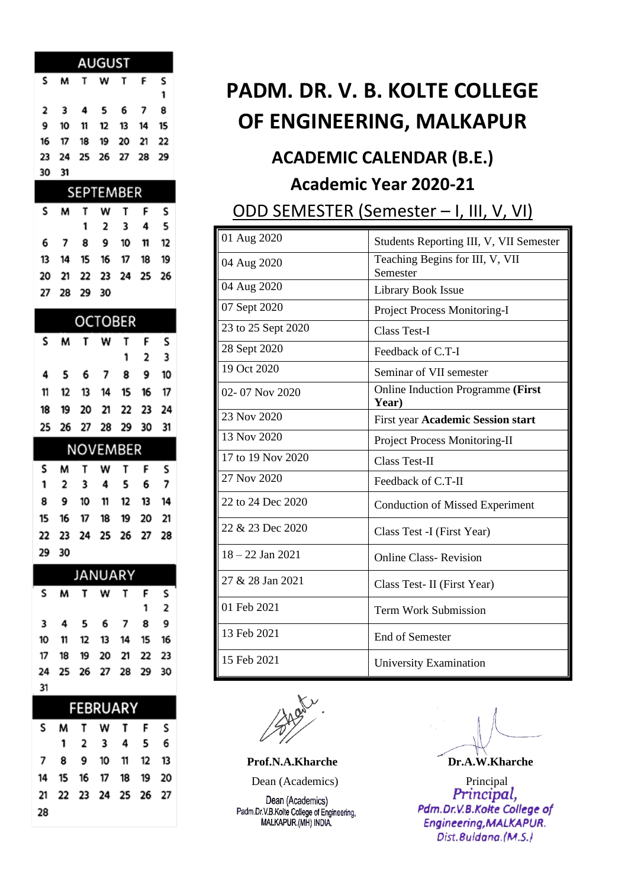| <b>AUGUST</b> |  |  |                      |  |  |   |  |  |
|---------------|--|--|----------------------|--|--|---|--|--|
| s.            |  |  | <b>MTWTFS</b>        |  |  |   |  |  |
|               |  |  |                      |  |  | 1 |  |  |
|               |  |  | 2 3 4 5 6 7 8        |  |  |   |  |  |
|               |  |  | 9 10 11 12 13 14 15  |  |  |   |  |  |
|               |  |  | 16 17 18 19 20 21 22 |  |  |   |  |  |
|               |  |  | 23 24 25 26 27 28 29 |  |  |   |  |  |
| 30 31         |  |  |                      |  |  |   |  |  |
| CEDTEMBED     |  |  |                      |  |  |   |  |  |

| JLF I LIVIDLN |  |             |                      |  |  |  |  |
|---------------|--|-------------|----------------------|--|--|--|--|
|               |  |             | SMTWTFS              |  |  |  |  |
|               |  |             | 1 2 3 4 5            |  |  |  |  |
|               |  |             | 6 7 8 9 10 11 12     |  |  |  |  |
|               |  |             | 13 14 15 16 17 18 19 |  |  |  |  |
|               |  |             | 20 21 22 23 24 25 26 |  |  |  |  |
|               |  | 27 28 29 30 |                      |  |  |  |  |

| OCTOBER |  |  |  |                      |                     |  |  |  |
|---------|--|--|--|----------------------|---------------------|--|--|--|
|         |  |  |  | <b>SMTWTFS</b>       |                     |  |  |  |
|         |  |  |  |                      | $1 \quad 2 \quad 3$ |  |  |  |
|         |  |  |  | 4 5 6 7 8 9 10       |                     |  |  |  |
|         |  |  |  | 11 12 13 14 15 16 17 |                     |  |  |  |
|         |  |  |  | 18 19 20 21 22 23 24 |                     |  |  |  |
|         |  |  |  | 25 26 27 28 29 30 31 |                     |  |  |  |

| <b>NOVEMBER</b> |  |  |  |                      |  |  |  |
|-----------------|--|--|--|----------------------|--|--|--|
|                 |  |  |  | S M T W T F S        |  |  |  |
|                 |  |  |  | 1 2 3 4 5 6 7        |  |  |  |
|                 |  |  |  | 8 9 10 11 12 13 14   |  |  |  |
|                 |  |  |  | 15 16 17 18 19 20 21 |  |  |  |
|                 |  |  |  | 22 23 24 25 26 27 28 |  |  |  |
| 29 30           |  |  |  |                      |  |  |  |

| <b>JANUARY</b> |  |  |  |                      |  |     |  |
|----------------|--|--|--|----------------------|--|-----|--|
|                |  |  |  | SMTWTFS              |  |     |  |
|                |  |  |  |                      |  | 1 2 |  |
|                |  |  |  | 3 4 5 6 7 8 9        |  |     |  |
|                |  |  |  | 10 11 12 13 14 15 16 |  |     |  |
|                |  |  |  | 17 18 19 20 21 22 23 |  |     |  |
|                |  |  |  | 24 25 26 27 28 29 30 |  |     |  |
| -31            |  |  |  |                      |  |     |  |

| FEBRUARY |  |  |  |  |                      |  |  |
|----------|--|--|--|--|----------------------|--|--|
|          |  |  |  |  | S M T W T F S        |  |  |
|          |  |  |  |  | 1 2 3 4 5 6          |  |  |
|          |  |  |  |  | 7 8 9 10 11 12 13    |  |  |
|          |  |  |  |  | 14 15 16 17 18 19 20 |  |  |
|          |  |  |  |  | 21 22 23 24 25 26 27 |  |  |
| 28       |  |  |  |  |                      |  |  |

## **PADM. DR. V. B. KOLTE COLLEGE OF ENGINEERING, MALKAPUR**

#### **ACADEMIC CALENDAR (B.E.) Academic Year 2020-21**

ODD SEMESTER (Semester – I, III, V, VI)

| 01 Aug 2020        | Students Reporting III, V, VII Semester     |
|--------------------|---------------------------------------------|
| 04 Aug 2020        | Teaching Begins for III, V, VII<br>Semester |
| 04 Aug 2020        | <b>Library Book Issue</b>                   |
| 07 Sept 2020       | Project Process Monitoring-I                |
| 23 to 25 Sept 2020 | <b>Class Test-I</b>                         |
| 28 Sept 2020       | Feedback of C.T-I                           |
| 19 Oct 2020        | Seminar of VII semester                     |
| $02 - 07$ Nov 2020 | Online Induction Programme (First<br>Year)  |
| 23 Nov 2020        | First year Academic Session start           |
| 13 Nov 2020        | <b>Project Process Monitoring-II</b>        |
| 17 to 19 Nov 2020  | Class Test-II                               |
| 27 Nov 2020        | Feedback of C.T-II                          |
| 22 to 24 Dec 2020  | <b>Conduction of Missed Experiment</b>      |
| 22 & 23 Dec 2020   | Class Test - I (First Year)                 |
| $18 - 22$ Jan 2021 | <b>Online Class-Revision</b>                |
| 27 & 28 Jan 2021   | Class Test- II (First Year)                 |
| 01 Feb 2021        | <b>Term Work Submission</b>                 |
| 13 Feb 2021        | <b>End of Semester</b>                      |
| 15 Feb 2021        | University Examination                      |

Dean (Academics) Padm.Dr.V.B.Kolte College of Engineering,<br>MALKAPUR.(MH) INDIA.

Prof.N.A.Kharche Dr.A.W.Kharche

**Dean (Academics)** Principal Principal Principal Principal, Pdm.Dr.V.B.Kolte College of Engineering, MALKAPUR. Dist.Buldana.(M.S.)